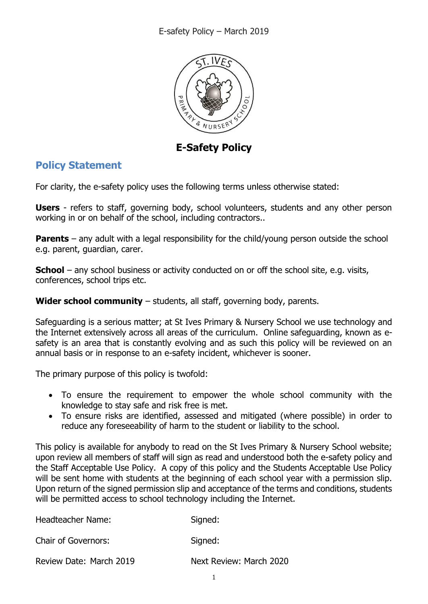

**E-Safety Policy**

### **Policy Statement**

For clarity, the e-safety policy uses the following terms unless otherwise stated:

**Users** - refers to staff, governing body, school volunteers, students and any other person working in or on behalf of the school, including contractors..

**Parents** – any adult with a legal responsibility for the child/young person outside the school e.g. parent, guardian, carer.

**School** – any school business or activity conducted on or off the school site, e.g. visits, conferences, school trips etc.

**Wider school community** – students, all staff, governing body, parents.

Safeguarding is a serious matter; at St Ives Primary & Nursery School we use technology and the Internet extensively across all areas of the curriculum. Online safeguarding, known as esafety is an area that is constantly evolving and as such this policy will be reviewed on an annual basis or in response to an e-safety incident, whichever is sooner.

The primary purpose of this policy is twofold:

- To ensure the requirement to empower the whole school community with the knowledge to stay safe and risk free is met.
- To ensure risks are identified, assessed and mitigated (where possible) in order to reduce any foreseeability of harm to the student or liability to the school.

This policy is available for anybody to read on the St Ives Primary & Nursery School website; upon review all members of staff will sign as read and understood both the e-safety policy and the Staff Acceptable Use Policy. A copy of this policy and the Students Acceptable Use Policy will be sent home with students at the beginning of each school year with a permission slip. Upon return of the signed permission slip and acceptance of the terms and conditions, students will be permitted access to school technology including the Internet.

| Headteacher Name:          | Signed:                 |
|----------------------------|-------------------------|
| <b>Chair of Governors:</b> | Signed:                 |
| Review Date: March 2019    | Next Review: March 2020 |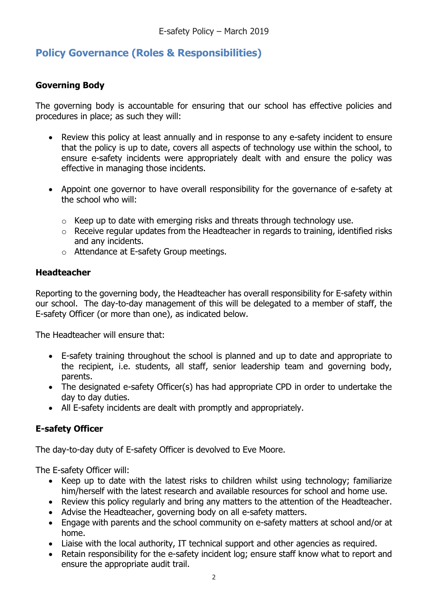### **Policy Governance (Roles & Responsibilities)**

### **Governing Body**

The governing body is accountable for ensuring that our school has effective policies and procedures in place; as such they will:

- Review this policy at least annually and in response to any e-safety incident to ensure that the policy is up to date, covers all aspects of technology use within the school, to ensure e-safety incidents were appropriately dealt with and ensure the policy was effective in managing those incidents.
- Appoint one governor to have overall responsibility for the governance of e-safety at the school who will:
	- $\circ$  Keep up to date with emerging risks and threats through technology use.
	- o Receive regular updates from the Headteacher in regards to training, identified risks and any incidents.
	- o Attendance at E-safety Group meetings.

### **Headteacher**

Reporting to the governing body, the Headteacher has overall responsibility for E-safety within our school. The day-to-day management of this will be delegated to a member of staff, the E-safety Officer (or more than one), as indicated below.

The Headteacher will ensure that:

- E-safety training throughout the school is planned and up to date and appropriate to the recipient, i.e. students, all staff, senior leadership team and governing body, parents.
- The designated e-safety Officer(s) has had appropriate CPD in order to undertake the day to day duties.
- All E-safety incidents are dealt with promptly and appropriately.

### **E-safety Officer**

The day-to-day duty of E-safety Officer is devolved to Eve Moore.

The E-safety Officer will:

- Keep up to date with the latest risks to children whilst using technology; familiarize him/herself with the latest research and available resources for school and home use.
- Review this policy regularly and bring any matters to the attention of the Headteacher.
- Advise the Headteacher, governing body on all e-safety matters.
- Engage with parents and the school community on e-safety matters at school and/or at home.
- Liaise with the local authority, IT technical support and other agencies as required.
- Retain responsibility for the e-safety incident log; ensure staff know what to report and ensure the appropriate audit trail.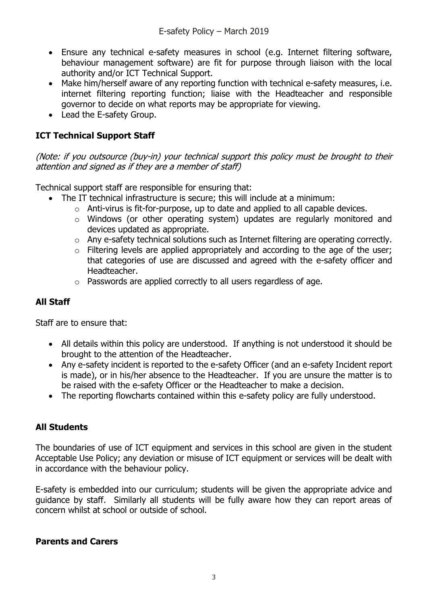- Ensure any technical e-safety measures in school (e.g. Internet filtering software, behaviour management software) are fit for purpose through liaison with the local authority and/or ICT Technical Support.
- Make him/herself aware of any reporting function with technical e-safety measures, i.e. internet filtering reporting function; liaise with the Headteacher and responsible governor to decide on what reports may be appropriate for viewing.
- Lead the E-safety Group.

### **ICT Technical Support Staff**

(Note: if you outsource (buy-in) your technical support this policy must be brought to their attention and signed as if they are a member of staff)

Technical support staff are responsible for ensuring that:

- The IT technical infrastructure is secure; this will include at a minimum:
	- o Anti-virus is fit-for-purpose, up to date and applied to all capable devices.
	- o Windows (or other operating system) updates are regularly monitored and devices updated as appropriate.
	- o Any e-safety technical solutions such as Internet filtering are operating correctly.
	- o Filtering levels are applied appropriately and according to the age of the user; that categories of use are discussed and agreed with the e-safety officer and Headteacher.
	- o Passwords are applied correctly to all users regardless of age.

### **All Staff**

Staff are to ensure that:

- All details within this policy are understood. If anything is not understood it should be brought to the attention of the Headteacher.
- Any e-safety incident is reported to the e-safety Officer (and an e-safety Incident report is made), or in his/her absence to the Headteacher. If you are unsure the matter is to be raised with the e-safety Officer or the Headteacher to make a decision.
- The reporting flowcharts contained within this e-safety policy are fully understood.

### **All Students**

The boundaries of use of ICT equipment and services in this school are given in the student Acceptable Use Policy; any deviation or misuse of ICT equipment or services will be dealt with in accordance with the behaviour policy.

E-safety is embedded into our curriculum; students will be given the appropriate advice and guidance by staff. Similarly all students will be fully aware how they can report areas of concern whilst at school or outside of school.

#### **Parents and Carers**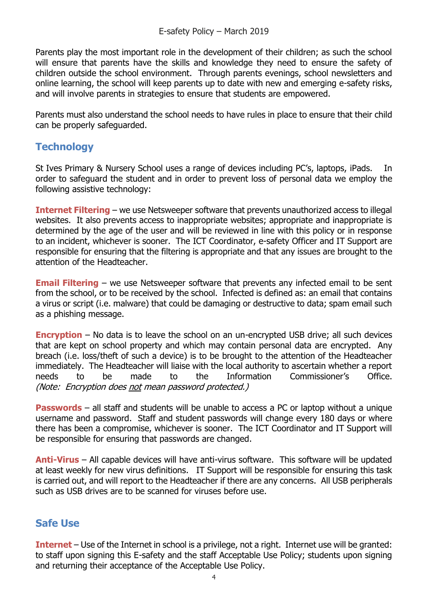Parents play the most important role in the development of their children; as such the school will ensure that parents have the skills and knowledge they need to ensure the safety of children outside the school environment. Through parents evenings, school newsletters and online learning, the school will keep parents up to date with new and emerging e-safety risks, and will involve parents in strategies to ensure that students are empowered.

Parents must also understand the school needs to have rules in place to ensure that their child can be properly safeguarded.

### **Technology**

St Ives Primary & Nursery School uses a range of devices including PC's, laptops, iPads. In order to safeguard the student and in order to prevent loss of personal data we employ the following assistive technology:

**Internet Filtering** – we use Netsweeper software that prevents unauthorized access to illegal websites. It also prevents access to inappropriate websites; appropriate and inappropriate is determined by the age of the user and will be reviewed in line with this policy or in response to an incident, whichever is sooner. The ICT Coordinator, e-safety Officer and IT Support are responsible for ensuring that the filtering is appropriate and that any issues are brought to the attention of the Headteacher.

**Email Filtering** – we use Netsweeper software that prevents any infected email to be sent from the school, or to be received by the school. Infected is defined as: an email that contains a virus or script (i.e. malware) that could be damaging or destructive to data; spam email such as a phishing message.

**Encryption** – No data is to leave the school on an un-encrypted USB drive; all such devices that are kept on school property and which may contain personal data are encrypted. Any breach (i.e. loss/theft of such a device) is to be brought to the attention of the Headteacher immediately. The Headteacher will liaise with the local authority to ascertain whether a report needs to be made to the Information Commissioner's Office. (Note: Encryption does not mean password protected.)

**Passwords** – all staff and students will be unable to access a PC or laptop without a unique username and password. Staff and student passwords will change every 180 days or where there has been a compromise, whichever is sooner. The ICT Coordinator and IT Support will be responsible for ensuring that passwords are changed.

**Anti-Virus** – All capable devices will have anti-virus software. This software will be updated at least weekly for new virus definitions. IT Support will be responsible for ensuring this task is carried out, and will report to the Headteacher if there are any concerns. All USB peripherals such as USB drives are to be scanned for viruses before use.

### **Safe Use**

**Internet** – Use of the Internet in school is a privilege, not a right. Internet use will be granted: to staff upon signing this E-safety and the staff Acceptable Use Policy; students upon signing and returning their acceptance of the Acceptable Use Policy.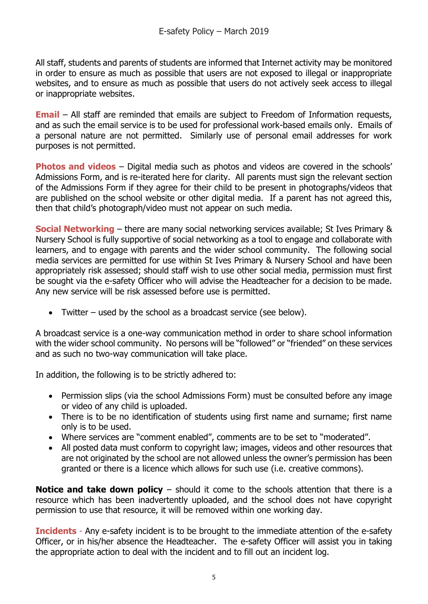All staff, students and parents of students are informed that Internet activity may be monitored in order to ensure as much as possible that users are not exposed to illegal or inappropriate websites, and to ensure as much as possible that users do not actively seek access to illegal or inappropriate websites.

**Email** – All staff are reminded that emails are subject to Freedom of Information requests, and as such the email service is to be used for professional work-based emails only. Emails of a personal nature are not permitted. Similarly use of personal email addresses for work purposes is not permitted.

**Photos and videos** – Digital media such as photos and videos are covered in the schools' Admissions Form, and is re-iterated here for clarity. All parents must sign the relevant section of the Admissions Form if they agree for their child to be present in photographs/videos that are published on the school website or other digital media. If a parent has not agreed this, then that child's photograph/video must not appear on such media.

**Social Networking** – there are many social networking services available; St Ives Primary & Nursery School is fully supportive of social networking as a tool to engage and collaborate with learners, and to engage with parents and the wider school community. The following social media services are permitted for use within St Ives Primary & Nursery School and have been appropriately risk assessed; should staff wish to use other social media, permission must first be sought via the e-safety Officer who will advise the Headteacher for a decision to be made. Any new service will be risk assessed before use is permitted.

Twitter – used by the school as a broadcast service (see below).

A broadcast service is a one-way communication method in order to share school information with the wider school community. No persons will be "followed" or "friended" on these services and as such no two-way communication will take place.

In addition, the following is to be strictly adhered to:

- Permission slips (via the school Admissions Form) must be consulted before any image or video of any child is uploaded.
- There is to be no identification of students using first name and surname; first name only is to be used.
- Where services are "comment enabled", comments are to be set to "moderated".
- All posted data must conform to copyright law; images, videos and other resources that are not originated by the school are not allowed unless the owner's permission has been granted or there is a licence which allows for such use (i.e. creative commons).

**Notice and take down policy** – should it come to the schools attention that there is a resource which has been inadvertently uploaded, and the school does not have copyright permission to use that resource, it will be removed within one working day.

**Incidents** - Any e-safety incident is to be brought to the immediate attention of the e-safety Officer, or in his/her absence the Headteacher. The e-safety Officer will assist you in taking the appropriate action to deal with the incident and to fill out an incident log.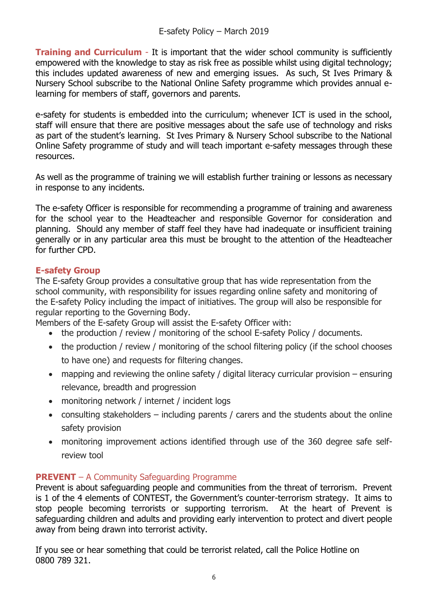**Training and Curriculum** - It is important that the wider school community is sufficiently empowered with the knowledge to stay as risk free as possible whilst using digital technology; this includes updated awareness of new and emerging issues. As such, St Ives Primary & Nursery School subscribe to the National Online Safety programme which provides annual elearning for members of staff, governors and parents.

e-safety for students is embedded into the curriculum; whenever ICT is used in the school, staff will ensure that there are positive messages about the safe use of technology and risks as part of the student's learning. St Ives Primary & Nursery School subscribe to the National Online Safety programme of study and will teach important e-safety messages through these resources.

As well as the programme of training we will establish further training or lessons as necessary in response to any incidents.

The e-safety Officer is responsible for recommending a programme of training and awareness for the school year to the Headteacher and responsible Governor for consideration and planning. Should any member of staff feel they have had inadequate or insufficient training generally or in any particular area this must be brought to the attention of the Headteacher for further CPD.

### **E-safety Group**

The E-safety Group provides a consultative group that has wide representation from the school community, with responsibility for issues regarding online safety and monitoring of the E-safety Policy including the impact of initiatives. The group will also be responsible for regular reporting to the Governing Body.

Members of the E-safety Group will assist the E-safety Officer with:

- the production / review / monitoring of the school E-safety Policy / documents.
- the production / review / monitoring of the school filtering policy (if the school chooses to have one) and requests for filtering changes.
- mapping and reviewing the online safety / digital literacy curricular provision ensuring relevance, breadth and progression
- monitoring network / internet / incident logs
- consulting stakeholders including parents / carers and the students about the online safety provision
- monitoring improvement actions identified through use of the 360 degree safe selfreview tool

### **PREVENT** – A Community Safeguarding Programme

Prevent is about safeguarding people and communities from the threat of terrorism. Prevent is 1 of the 4 elements of CONTEST, the Government's counter-terrorism strategy. It aims to stop people becoming terrorists or supporting terrorism. At the heart of Prevent is safeguarding children and adults and providing early intervention to protect and divert people away from being drawn into terrorist activity.

If you see or hear something that could be terrorist related, call the Police Hotline on 0800 789 321.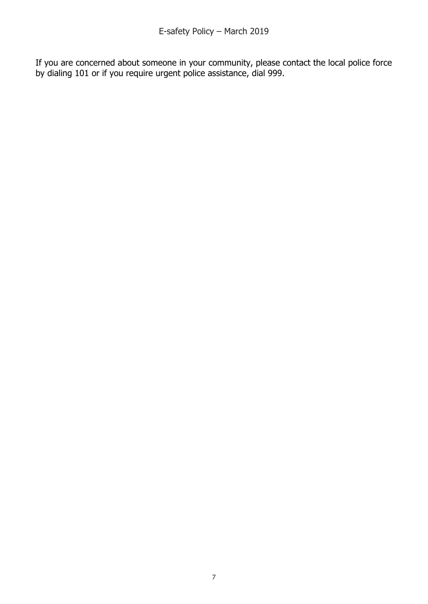If you are concerned about someone in your community, please contact the local police force by dialing 101 or if you require urgent police assistance, dial 999.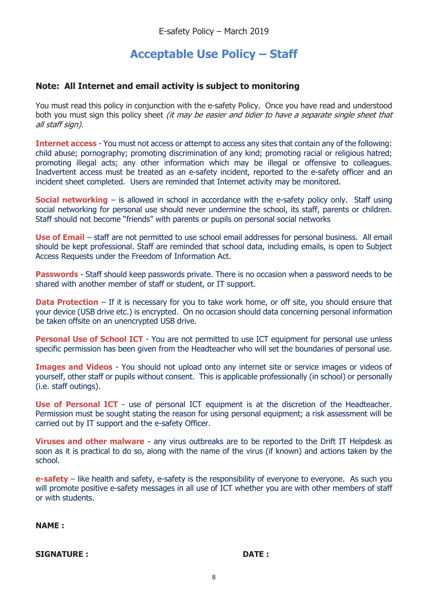## **Acceptable Use Policy – Staff**

#### **Note: All Internet and email activity is subject to monitoring**

You must read this policy in conjunction with the e-safety Policy. Once you have read and understood both you must sign this policy sheet *(it may be easier and tidier to have a separate single sheet that* all staff sign).

**Internet access** - You must not access or attempt to access any sites that contain any of the following: child abuse; pornography; promoting discrimination of any kind; promoting racial or religious hatred; promoting illegal acts; any other information which may be illegal or offensive to colleagues. Inadvertent access must be treated as an e-safety incident, reported to the e-safety officer and an incident sheet completed. Users are reminded that Internet activity may be monitored.

**Social networking** – is allowed in school in accordance with the e-safety policy only. Staff using social networking for personal use should never undermine the school, its staff, parents or children. Staff should not become "friends" with parents or pupils on personal social networks

**Use of Email** – staff are not permitted to use school email addresses for personal business. All email should be kept professional. Staff are reminded that school data, including emails, is open to Subject Access Requests under the Freedom of Information Act.

**Passwords** - Staff should keep passwords private. There is no occasion when a password needs to be shared with another member of staff or student, or IT support.

**Data Protection** – If it is necessary for you to take work home, or off site, you should ensure that your device (USB drive etc.) is encrypted. On no occasion should data concerning personal information be taken offsite on an unencrypted USB drive.

**Personal Use of School ICT** - You are not permitted to use ICT equipment for personal use unless specific permission has been given from the Headteacher who will set the boundaries of personal use.

**Images and Videos** - You should not upload onto any internet site or service images or videos of yourself, other staff or pupils without consent. This is applicable professionally (in school) or personally (i.e. staff outings).

**Use of Personal ICT** - use of personal ICT equipment is at the discretion of the Headteacher. Permission must be sought stating the reason for using personal equipment; a risk assessment will be carried out by IT support and the e-safety Officer.

**Viruses and other malware** - any virus outbreaks are to be reported to the Drift IT Helpdesk as soon as it is practical to do so, along with the name of the virus (if known) and actions taken by the school.

**e-safety** – like health and safety, e-safety is the responsibility of everyone to everyone. As such you will promote positive e-safety messages in all use of ICT whether you are with other members of staff or with students.

**NAME :**

**SIGNATURE : DATE :**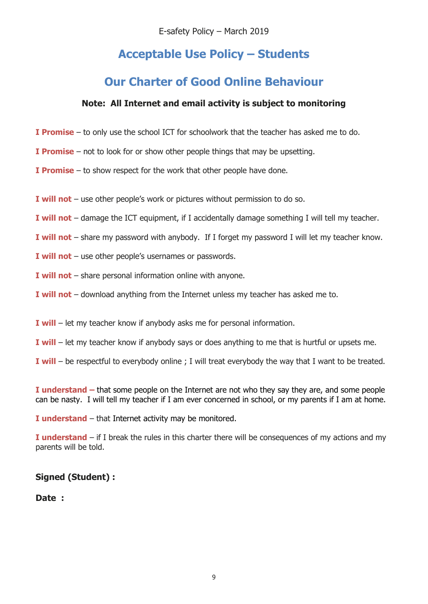E-safety Policy – March 2019

# **Acceptable Use Policy – Students**

## **Our Charter of Good Online Behaviour**

#### **Note: All Internet and email activity is subject to monitoring**

- **I Promise** to only use the school ICT for schoolwork that the teacher has asked me to do.
- **I Promise** not to look for or show other people things that may be upsetting.
- **I Promise** to show respect for the work that other people have done.
- **I will not** use other people's work or pictures without permission to do so.
- **I will not** damage the ICT equipment, if I accidentally damage something I will tell my teacher.
- **I will not** share my password with anybody. If I forget my password I will let my teacher know.
- **I will not** use other people's usernames or passwords.
- **I will not** share personal information online with anyone.
- **I will not** download anything from the Internet unless my teacher has asked me to.
- **I will** let my teacher know if anybody asks me for personal information.
- **I will** let my teacher know if anybody says or does anything to me that is hurtful or upsets me.
- **I will** be respectful to everybody online ; I will treat everybody the way that I want to be treated.

**I understand –** that some people on the Internet are not who they say they are, and some people can be nasty. I will tell my teacher if I am ever concerned in school, or my parents if I am at home.

**I understand** – that Internet activity may be monitored.

**I understand** – if I break the rules in this charter there will be consequences of my actions and my parents will be told.

#### **Signed (Student) :**

#### **Date :**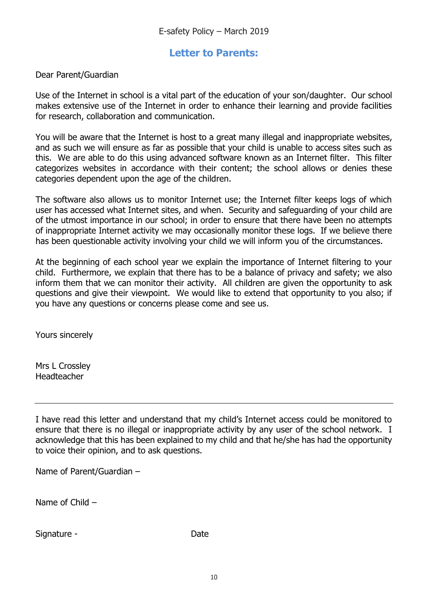### **Letter to Parents:**

Dear Parent/Guardian

Use of the Internet in school is a vital part of the education of your son/daughter. Our school makes extensive use of the Internet in order to enhance their learning and provide facilities for research, collaboration and communication.

You will be aware that the Internet is host to a great many illegal and inappropriate websites, and as such we will ensure as far as possible that your child is unable to access sites such as this. We are able to do this using advanced software known as an Internet filter. This filter categorizes websites in accordance with their content; the school allows or denies these categories dependent upon the age of the children.

The software also allows us to monitor Internet use; the Internet filter keeps logs of which user has accessed what Internet sites, and when. Security and safeguarding of your child are of the utmost importance in our school; in order to ensure that there have been no attempts of inappropriate Internet activity we may occasionally monitor these logs. If we believe there has been questionable activity involving your child we will inform you of the circumstances.

At the beginning of each school year we explain the importance of Internet filtering to your child. Furthermore, we explain that there has to be a balance of privacy and safety; we also inform them that we can monitor their activity. All children are given the opportunity to ask questions and give their viewpoint. We would like to extend that opportunity to you also; if you have any questions or concerns please come and see us.

Yours sincerely

Mrs L Crossley Headteacher

I have read this letter and understand that my child's Internet access could be monitored to ensure that there is no illegal or inappropriate activity by any user of the school network. I acknowledge that this has been explained to my child and that he/she has had the opportunity to voice their opinion, and to ask questions.

Name of Parent/Guardian –

Name of Child –

Signature - The Date of the Date of the Date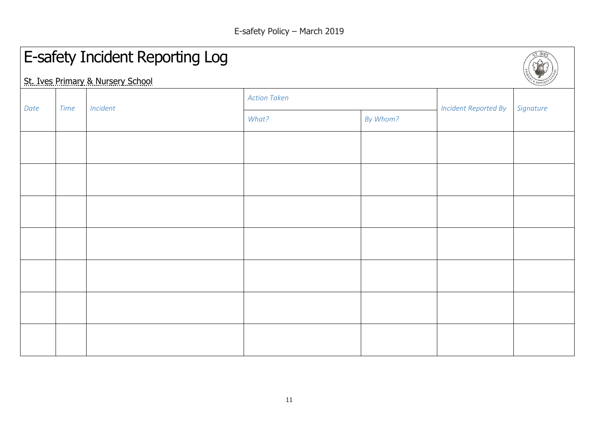$5T. IVES$ 

# E-safety Incident Reporting Log

St. Ives Primary & Nursery School

| Date | <b>Time</b> | Incident | <b>Action Taken</b> |          | $\overline{\phantom{0}}$    |           |
|------|-------------|----------|---------------------|----------|-----------------------------|-----------|
|      |             |          | What?               | By Whom? | <b>Incident Reported By</b> | Signature |
|      |             |          |                     |          |                             |           |
|      |             |          |                     |          |                             |           |
|      |             |          |                     |          |                             |           |
|      |             |          |                     |          |                             |           |
|      |             |          |                     |          |                             |           |
|      |             |          |                     |          |                             |           |
|      |             |          |                     |          |                             |           |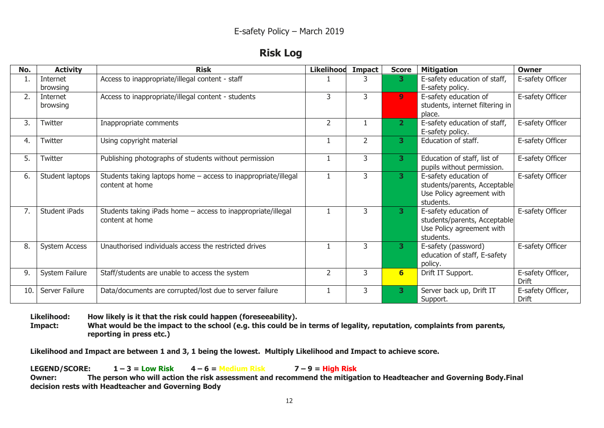| KISN | na |
|------|----|
|------|----|

| No. | <b>Activity</b>      | <b>Risk</b>                                                                       | <b>Likelihood</b> | <b>Impact</b>  | <b>Score</b>    | <b>Mitigation</b>                                                                               | <b>Owner</b>                      |
|-----|----------------------|-----------------------------------------------------------------------------------|-------------------|----------------|-----------------|-------------------------------------------------------------------------------------------------|-----------------------------------|
| ı.  | Internet<br>browsing | Access to inappropriate/illegal content - staff                                   |                   |                | 3.              | E-safety education of staff,<br>E-safety policy.                                                | E-safety Officer                  |
| 2.  | Internet<br>browsing | Access to inappropriate/illegal content - students                                | 3                 | $\overline{3}$ | 9 <sup>1</sup>  | E-safety education of<br>students, internet filtering in<br>place.                              | E-safety Officer                  |
| 3.  | Twitter              | Inappropriate comments                                                            | $\overline{2}$    |                | $\overline{2}$  | E-safety education of staff,<br>E-safety policy.                                                | E-safety Officer                  |
| 4.  | Twitter              | Using copyright material                                                          |                   | $\overline{2}$ | 3               | Education of staff.                                                                             | E-safety Officer                  |
| 5.  | Twitter              | Publishing photographs of students without permission                             |                   | 3              | 3               | Education of staff, list of<br>pupils without permission.                                       | E-safety Officer                  |
| 6.  | Student laptops      | Students taking laptops home - access to inappropriate/illegal<br>content at home | $\mathbf{1}$      | 3              | 3               | E-safety education of<br>students/parents, Acceptable<br>Use Policy agreement with<br>students. | E-safety Officer                  |
| 7.  | Student iPads        | Students taking iPads home - access to inappropriate/illegal<br>content at home   | $\mathbf{1}$      | 3              | 3               | E-safety education of<br>students/parents, Acceptable<br>Use Policy agreement with<br>students. | E-safety Officer                  |
| 8.  | <b>System Access</b> | Unauthorised individuals access the restricted drives                             |                   | 3              | 3               | E-safety (password)<br>education of staff, E-safety<br>policy.                                  | E-safety Officer                  |
| 9.  | System Failure       | Staff/students are unable to access the system                                    | $\overline{2}$    | 3              | $6 \overline{}$ | Drift IT Support.                                                                               | E-safety Officer,<br><b>Drift</b> |
| 10. | Server Failure       | Data/documents are corrupted/lost due to server failure                           |                   | 3              | 3               | Server back up, Drift IT<br>Support.                                                            | E-safety Officer,<br>Drift        |

**Likelihood: How likely is it that the risk could happen (foreseeability).**

**Impact: What would be the impact to the school (e.g. this could be in terms of legality, reputation, complaints from parents, reporting in press etc.)**

**Likelihood and Impact are between 1 and 3, 1 being the lowest. Multiply Likelihood and Impact to achieve score.**

**LEGEND/SCORE:**  $1-3 =$  **Low Risk**  $4-6 =$  **Medium Risk**  $7-9 =$  **High Risk Owner: The person who will action the risk assessment and recommend the mitigation to Headteacher and Governing Body.Final decision rests with Headteacher and Governing Body**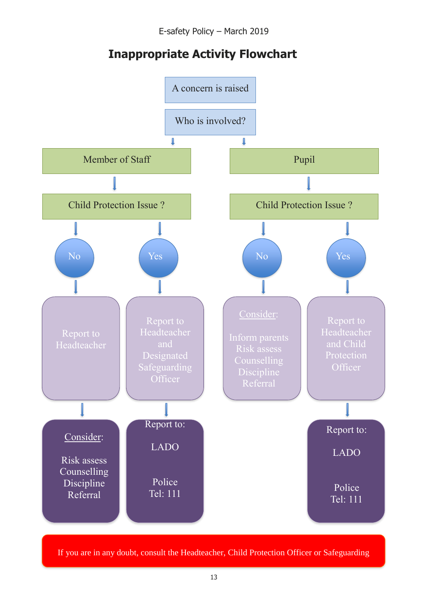E-safety Policy – March 2019

# **Inappropriate Activity Flowchart**



If you are in any doubt, consult the Headteacher, Child Protection Officer or Safeguarding